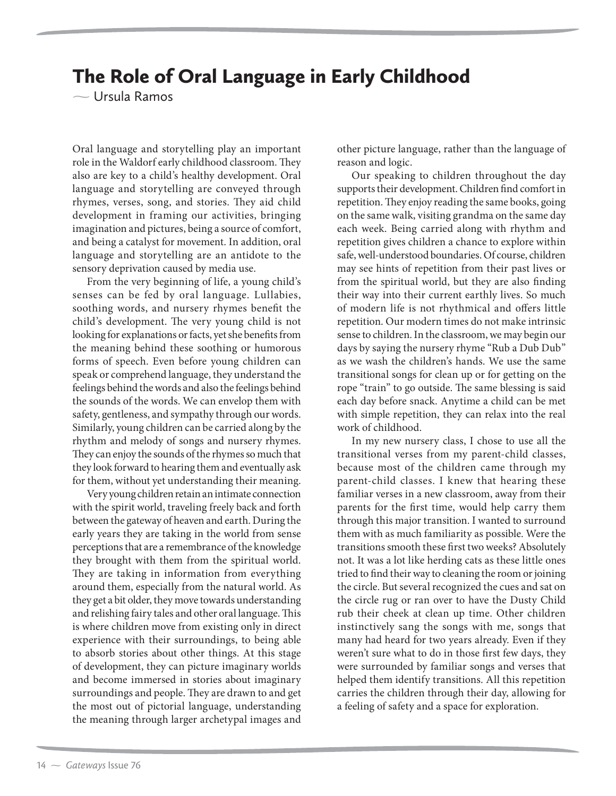## The Role of Oral Language in Early Childhood

 $\sim$  Ursula Ramos

Oral language and storytelling play an important role in the Waldorf early childhood classroom. They also are key to a child's healthy development. Oral language and storytelling are conveyed through rhymes, verses, song, and stories. They aid child development in framing our activities, bringing imagination and pictures, being a source of comfort, and being a catalyst for movement. In addition, oral language and storytelling are an antidote to the sensory deprivation caused by media use.

From the very beginning of life, a young child's senses can be fed by oral language. Lullabies, soothing words, and nursery rhymes benefit the child's development. The very young child is not looking for explanations or facts, yet she benefits from the meaning behind these soothing or humorous forms of speech. Even before young children can speak or comprehend language, they understand the feelings behind the words and also the feelings behind the sounds of the words. We can envelop them with safety, gentleness, and sympathy through our words. Similarly, young children can be carried along by the rhythm and melody of songs and nursery rhymes. They can enjoy the sounds of the rhymes so much that they look forward to hearing them and eventually ask for them, without yet understanding their meaning.

Very young children retain an intimate connection with the spirit world, traveling freely back and forth between the gateway of heaven and earth. During the early years they are taking in the world from sense perceptions that are a remembrance of the knowledge they brought with them from the spiritual world. They are taking in information from everything around them, especially from the natural world. As they get a bit older, they move towards understanding and relishing fairy tales and other oral language. This is where children move from existing only in direct experience with their surroundings, to being able to absorb stories about other things. At this stage of development, they can picture imaginary worlds and become immersed in stories about imaginary surroundings and people. They are drawn to and get the most out of pictorial language, understanding the meaning through larger archetypal images and

other picture language, rather than the language of reason and logic.

Our speaking to children throughout the day supports their development. Children find comfort in repetition. They enjoy reading the same books, going on the same walk, visiting grandma on the same day each week. Being carried along with rhythm and repetition gives children a chance to explore within safe, well-understood boundaries. Of course, children may see hints of repetition from their past lives or from the spiritual world, but they are also finding their way into their current earthly lives. So much of modern life is not rhythmical and offers little repetition. Our modern times do not make intrinsic sense to children. In the classroom, we may begin our days by saying the nursery rhyme "Rub a Dub Dub" as we wash the children's hands. We use the same transitional songs for clean up or for getting on the rope "train" to go outside. The same blessing is said each day before snack. Anytime a child can be met with simple repetition, they can relax into the real work of childhood.

In my new nursery class, I chose to use all the transitional verses from my parent-child classes, because most of the children came through my parent-child classes. I knew that hearing these familiar verses in a new classroom, away from their parents for the first time, would help carry them through this major transition. I wanted to surround them with as much familiarity as possible. Were the transitions smooth these first two weeks? Absolutely not. It was a lot like herding cats as these little ones tried to find their way to cleaning the room or joining the circle. But several recognized the cues and sat on the circle rug or ran over to have the Dusty Child rub their cheek at clean up time. Other children instinctively sang the songs with me, songs that many had heard for two years already. Even if they weren't sure what to do in those first few days, they were surrounded by familiar songs and verses that helped them identify transitions. All this repetition carries the children through their day, allowing for a feeling of safety and a space for exploration.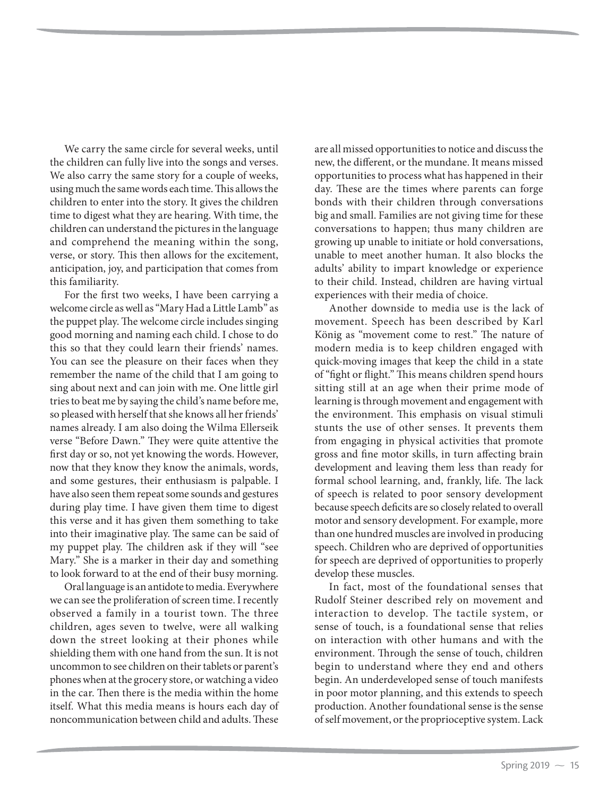We carry the same circle for several weeks, until the children can fully live into the songs and verses. We also carry the same story for a couple of weeks, using much the same words each time. This allows the children to enter into the story. It gives the children time to digest what they are hearing. With time, the children can understand the pictures in the language and comprehend the meaning within the song, verse, or story. This then allows for the excitement, anticipation, joy, and participation that comes from this familiarity.

For the first two weeks, I have been carrying a welcome circle as well as "Mary Had a Little Lamb" as the puppet play. The welcome circle includes singing good morning and naming each child. I chose to do this so that they could learn their friends' names. You can see the pleasure on their faces when they remember the name of the child that I am going to sing about next and can join with me. One little girl tries to beat me by saying the child's name before me, so pleased with herself that she knows all her friends' names already. I am also doing the Wilma Ellerseik verse "Before Dawn." They were quite attentive the first day or so, not yet knowing the words. However, now that they know they know the animals, words, and some gestures, their enthusiasm is palpable. I have also seen them repeat some sounds and gestures during play time. I have given them time to digest this verse and it has given them something to take into their imaginative play. The same can be said of my puppet play. The children ask if they will "see Mary." She is a marker in their day and something to look forward to at the end of their busy morning.

Oral language is an antidote to media. Everywhere we can see the proliferation of screen time. I recently observed a family in a tourist town. The three children, ages seven to twelve, were all walking down the street looking at their phones while shielding them with one hand from the sun. It is not uncommon to see children on their tablets or parent's phones when at the grocery store, or watching a video in the car. Then there is the media within the home itself. What this media means is hours each day of noncommunication between child and adults. These

are all missed opportunities to notice and discuss the new, the different, or the mundane. It means missed opportunities to process what has happened in their day. These are the times where parents can forge bonds with their children through conversations big and small. Families are not giving time for these conversations to happen; thus many children are growing up unable to initiate or hold conversations, unable to meet another human. It also blocks the adults' ability to impart knowledge or experience to their child. Instead, children are having virtual experiences with their media of choice.

Another downside to media use is the lack of movement. Speech has been described by Karl König as "movement come to rest." The nature of modern media is to keep children engaged with quick-moving images that keep the child in a state of "fight or flight." This means children spend hours sitting still at an age when their prime mode of learning is through movement and engagement with the environment. This emphasis on visual stimuli stunts the use of other senses. It prevents them from engaging in physical activities that promote gross and fine motor skills, in turn affecting brain development and leaving them less than ready for formal school learning, and, frankly, life. The lack of speech is related to poor sensory development because speech deficits are so closely related to overall motor and sensory development. For example, more than one hundred muscles are involved in producing speech. Children who are deprived of opportunities for speech are deprived of opportunities to properly develop these muscles.

In fact, most of the foundational senses that Rudolf Steiner described rely on movement and interaction to develop. The tactile system, or sense of touch, is a foundational sense that relies on interaction with other humans and with the environment. Through the sense of touch, children begin to understand where they end and others begin. An underdeveloped sense of touch manifests in poor motor planning, and this extends to speech production. Another foundational sense is the sense of self movement, or the proprioceptive system. Lack